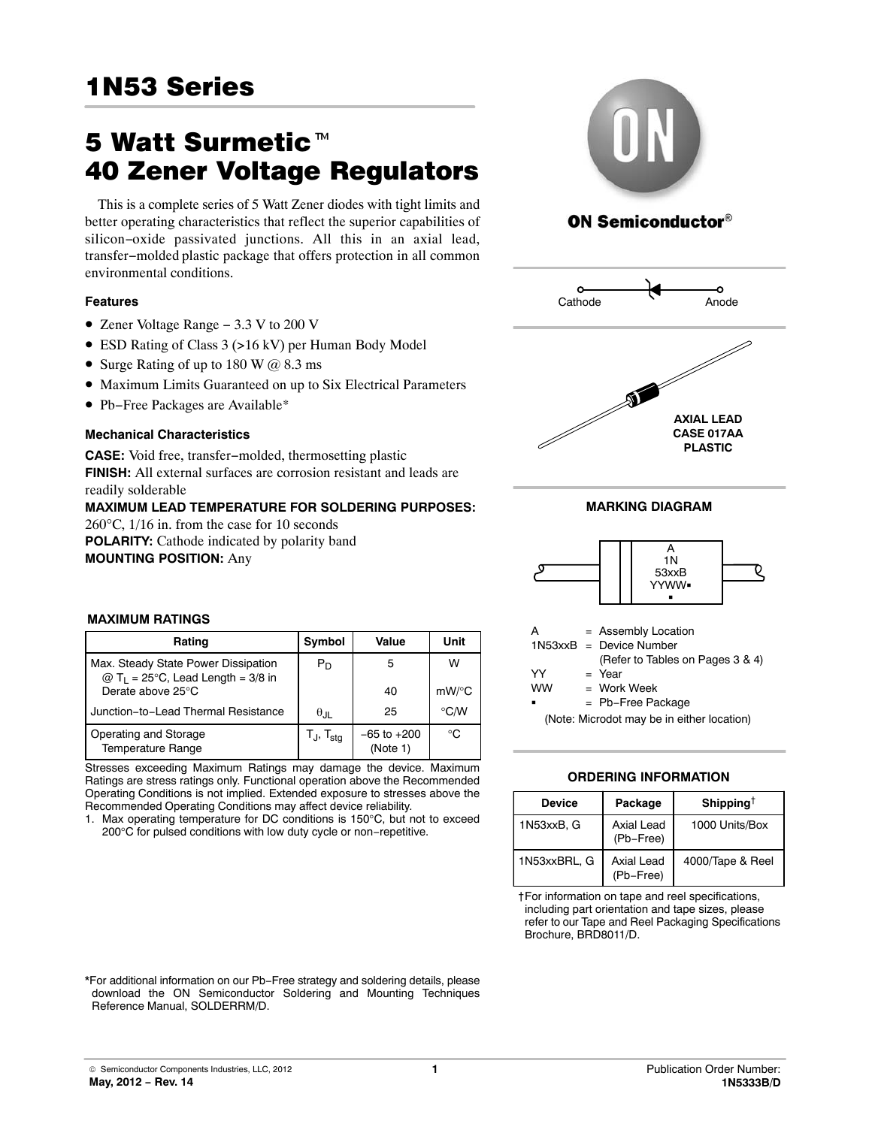# 1<sub>N53</sub> Series (1983)

# 1N53 Series<br>5 Watt Surmetic<sup>™</sup><br>40 Zener Voltage Regulators

This is a complete series of 5 Watt Zener diodes with tight limits and better operating characteristics that reflect the superior capabilities of silicon−oxide passivated junctions. All this in an axial lead, transfer−molded plastic package that offers protection in all common environmental conditions.

# **Features**

- Zener Voltage Range − 3.3 V to 200 V
- ESD Rating of Class 3 (>16 kV) per Human Body Model
- Surge Rating of up to 180 W  $\omega$  8.3 ms
- Maximum Limits Guaranteed on up to Six Electrical Parameters
- Pb−Free Packages are Available\*

# **Mechanical Characteristics**

**CASE:** Void free, transfer−molded, thermosetting plastic **FINISH:** All external surfaces are corrosion resistant and leads are readily solderable

**MAXIMUM LEAD TEMPERATURE FOR SOLDERING PURPOSES:** 260°C, 1/16 in. from the case for 10 seconds **POLARITY:** Cathode indicated by polarity band **MOUNTING POSITION:** Any



# **ON Semiconductor®**



**MARKING DIAGRAM**



#### = Work Week **WW**

= Pb−Free Package

(Note: Microdot may be in either location)

## **ORDERING INFORMATION**

| Device       | Package                        | Shipping <sup>†</sup> |
|--------------|--------------------------------|-----------------------|
| 1N53xxB, G   | Axial Lead<br>(Pb-Free)        | 1000 Units/Box        |
| 1N53xxBRL, G | <b>Axial Lead</b><br>(Pb-Free) | 4000/Tape & Reel      |

†For information on tape and reel specifications, including part orientation and tape sizes, please refer to our Tape and Reel Packaging Specifications Brochure, BRD8011/D.

### **MAXIMUM RATINGS**

| Rating                                                                                 | Symbol                            | Value                       | Unit     |
|----------------------------------------------------------------------------------------|-----------------------------------|-----------------------------|----------|
| Max. Steady State Power Dissipation<br>$@$ T <sub>1</sub> = 25°C, Lead Length = 3/8 in | $P_D$                             | 5                           | w        |
| Derate above 25°C                                                                      |                                   | 40                          | $mW$ /°C |
| Junction-to-Lead Thermal Resistance                                                    | $\theta_{\text{JII}}$             | 25                          | °C∕W     |
| Operating and Storage<br><b>Temperature Range</b>                                      | T <sub>J</sub> , T <sub>sta</sub> | $-65$ to $+200$<br>(Note 1) | ി        |

Stresses exceeding Maximum Ratings may damage the device. Maximum Ratings are stress ratings only. Functional operation above the Recommended Operating Conditions is not implied. Extended exposure to stresses above the Recommended Operating Conditions may affect device reliability.

1. Max operating temperature for DC conditions is 150°C, but not to exceed 200°C for pulsed conditions with low duty cycle or non−repetitive.

\*For additional information on our Pb−Free strategy and soldering details, please download the ON Semiconductor Soldering and Mounting Techniques

Reference Manual, SOLDERRM/D.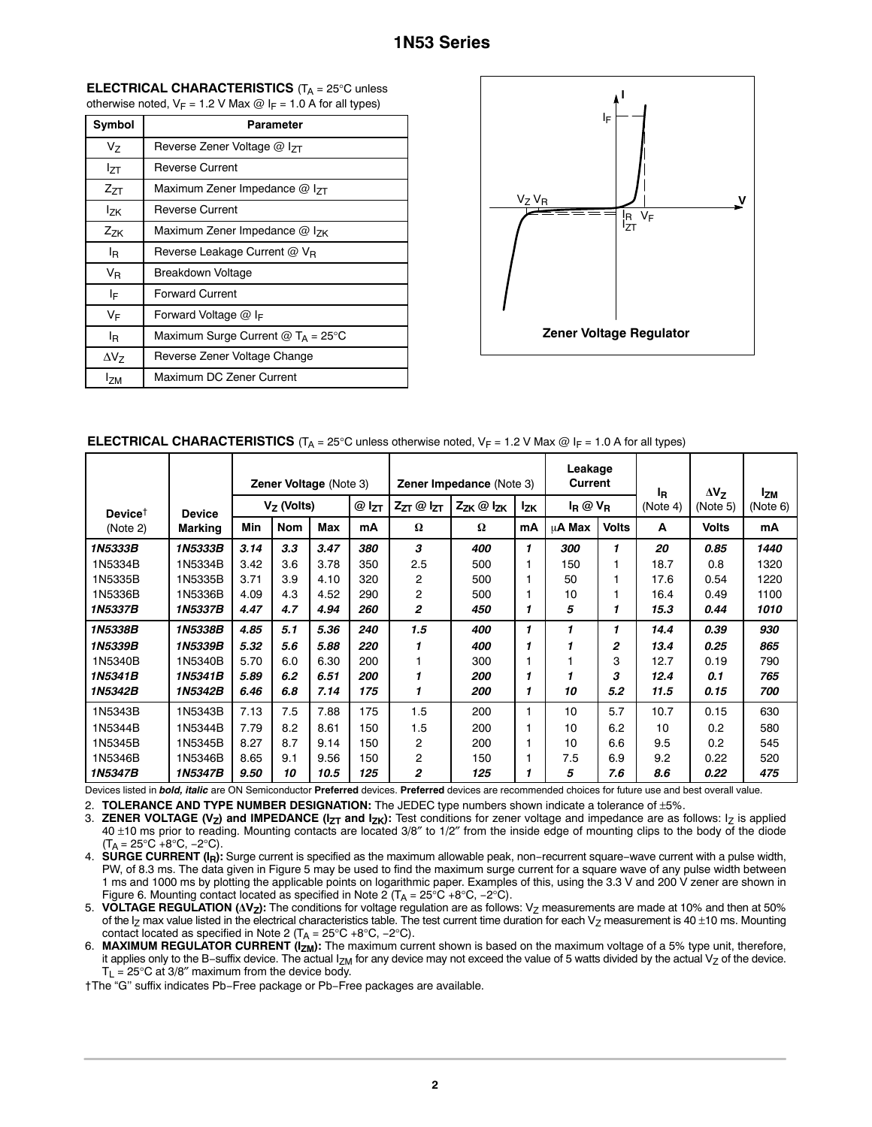| <b>ELECTRICAL CHARACTERISTICS</b> ( $T_A = 25^\circ$ C unless     |  |
|-------------------------------------------------------------------|--|
| otherwise noted, $V_F = 1.2$ V Max @ $I_F = 1.0$ A for all types) |  |

| Symbol         | Parameter                            |
|----------------|--------------------------------------|
| V <sub>7</sub> | Reverse Zener Voltage @ IzT          |
| $I_{7T}$       | <b>Reverse Current</b>               |
| $Z_{ZT}$       | Maximum Zener Impedance @ IzT        |
| <b>Izk</b>     | <b>Reverse Current</b>               |
| $Z_{ZK}$       | Maximum Zener Impedance $@$ $ _{7K}$ |
| l <sub>R</sub> | Reverse Leakage Current $@V_{B}$     |
| $V_{R}$        | Breakdown Voltage                    |
| ΙF             | <b>Forward Current</b>               |
| VF             | Forward Voltage $@$ I <sub>F</sub>   |
| l <sub>R</sub> | Maximum Surge Current $@T_A = 25°C$  |
| $\Delta V$     | Reverse Zener Voltage Change         |
| <b>IzM</b>     | Maximum DC Zener Current             |



**ELECTRICAL CHARACTERISTICS** (T<sub>A</sub> = 25°C unless otherwise noted, V<sub>F</sub> = 1.2 V Max @ I<sub>F</sub> = 1.0 A for all types)

|                                         |               |              | <b>Zener Voltage (Note 3)</b><br><b>Zener Impedance (Note 3)</b> |      |           |                     |                            |              | Leakage<br><b>Current</b> |              | ΙŖ       | $\Delta V_{Z}$ | <b>IzM</b> |
|-----------------------------------------|---------------|--------------|------------------------------------------------------------------|------|-----------|---------------------|----------------------------|--------------|---------------------------|--------------|----------|----------------|------------|
| Device <sup><math>\uparrow</math></sup> | <b>Device</b> | $V7$ (Volts) |                                                                  |      | $@I_{ZT}$ | $Z_{ZT}$ @ $I_{ZT}$ | $Z_{ZK}$ $\omega$ $I_{ZK}$ | <b>Izk</b>   | $I_R @ V_R$               |              | (Note 4) | (Note 5)       | (Note 6)   |
| (Note 2)                                | Marking       | Min          | <b>Nom</b>                                                       | Max  | mA        | Ω                   | Ω                          | mΑ           | μ <b>A Max</b>            | <b>Volts</b> | A        | <b>Volts</b>   | mA         |
| 1N5333B                                 | 1N5333B       | 3.14         | 3.3                                                              | 3.47 | 380       | з                   | 400                        | $\mathbf{1}$ | 300                       |              | 20       | 0.85           | 1440       |
| 1N5334B                                 | 1N5334B       | 3.42         | 3.6                                                              | 3.78 | 350       | 2.5                 | 500                        |              | 150                       |              | 18.7     | 0.8            | 1320       |
| 1N5335B                                 | 1N5335B       | 3.71         | 3.9                                                              | 4.10 | 320       | $\overline{c}$      | 500                        |              | 50                        |              | 17.6     | 0.54           | 1220       |
| 1N5336B                                 | 1N5336B       | 4.09         | 4.3                                                              | 4.52 | 290       | $\overline{c}$      | 500                        |              | 10                        |              | 16.4     | 0.49           | 1100       |
| 1N5337B                                 | 1N5337B       | 4.47         | 4.7                                                              | 4.94 | 260       | $\overline{2}$      | 450                        |              | 5                         |              | 15.3     | 0.44           | 1010       |
| 1N5338B                                 | 1N5338B       | 4.85         | 5.1                                                              | 5.36 | 240       | 1.5                 | 400                        | 1            | 1                         |              | 14.4     | 0.39           | 930        |
| 1N5339B                                 | 1N5339B       | 5.32         | 5.6                                                              | 5.88 | 220       |                     | 400                        |              |                           | 2            | 13.4     | 0.25           | 865        |
| 1N5340B                                 | 1N5340B       | 5.70         | 6.0                                                              | 6.30 | 200       |                     | 300                        |              |                           | 3            | 12.7     | 0.19           | 790        |
| 1N5341B                                 | 1N5341B       | 5.89         | 6.2                                                              | 6.51 | 200       |                     | 200                        |              |                           | з            | 12.4     | 0.1            | 765        |
| 1N5342B                                 | 1N5342B       | 6.46         | 6.8                                                              | 7.14 | 175       | 1                   | 200                        |              | 10                        | 5.2          | 11.5     | 0.15           | 700        |
| 1N5343B                                 | 1N5343B       | 7.13         | 7.5                                                              | 7.88 | 175       | 1.5                 | 200                        |              | 10                        | 5.7          | 10.7     | 0.15           | 630        |
| 1N5344B                                 | 1N5344B       | 7.79         | 8.2                                                              | 8.61 | 150       | 1.5                 | 200                        |              | 10                        | 6.2          | 10       | 0.2            | 580        |
| 1N5345B                                 | 1N5345B       | 8.27         | 8.7                                                              | 9.14 | 150       | $\overline{c}$      | 200                        |              | 10                        | 6.6          | 9.5      | 0.2            | 545        |
| 1N5346B                                 | 1N5346B       | 8.65         | 9.1                                                              | 9.56 | 150       | $\overline{2}$      | 150                        |              | 7.5                       | 6.9          | 9.2      | 0.22           | 520        |
| 1N5347B                                 | 1N5347B       | 9.50         | 10                                                               | 10.5 | 125       | $\overline{c}$      | 125                        |              | 5                         | 7.6          | 8.6      | 0.22           | 475        |

Devices listed in *bold, italic* are ON Semiconductor **Preferred** devices. **Preferred** devices are recommended choices for future use and best overall value.

2. **TOLERANCE AND TYPE NUMBER DESIGNATION:** The JEDEC type numbers shown indicate a tolerance of ±5%.<br>3. **ZENER VOLTAGE (V<sub>7</sub>) and IMPEDANCE (I<sub>7T</sub> and I<sub>7K</sub>): Test conditions for zener voltage and impedance are as i** 

**ZENER VOLTAGE (V<sub>Z</sub>) and IMPEDANCE (I<sub>ZT</sub> and I<sub>ZK</sub>):** Test conditions for zener voltage and impedance are as follows: I<sub>Z</sub> is applied 40 ±10 ms prior to reading. Mounting contacts are located 3/8″ to 1/2″ from the inside edge of mounting clips to the body of the diode  $(T_A = 25^{\circ}C + 8^{\circ}C, -2^{\circ}C).$ 

4. **SURGE CURRENT (IR):** Surge current is specified as the maximum allowable peak, non−recurrent square−wave current with a pulse width, PW, of 8.3 ms. The data given in Figure [5](#page--1-0) may be used to find the maximum surge current for a square wave of any pulse width between 1 ms and 1000 ms by plotting the applicable points on logarithmic paper. Examples of this, using the 3.3 V and 200 V zener are shown in Figure [6](#page--1-0). Mounting contact located as specified in Note 2 (T<sub>A</sub> = 25°C +8°C, -2°C).

5. VOLTAGE REGULATION (AV<sub>Z</sub>): The conditions for voltage regulation are as follows: V<sub>Z</sub> measurements are made at 10% and then at 50% of the  $I_Z$  max value listed in the electrical characteristics table. The test current time duration for each  $V_Z$  measurement is 40  $\pm$ 10 ms. Mounting contact located as specified in Note 2 (T<sub>A</sub> =  $25^{\circ}$ C +8 $^{\circ}$ C, -2 $^{\circ}$ C).

6. **MAXIMUM REGULATOR CURRENT (IZM):** The maximum current shown is based on the maximum voltage of a 5% type unit, therefore, it applies only to the B−suffix device. The actual I<sub>ZM</sub> for any device may not exceed the value of 5 watts divided by the actual V<sub>Z</sub> of the device.  $T_L$  = 25°C at 3/8" maximum from the device body.

†The "G'' suffix indicates Pb−Free package or Pb−Free packages are available.